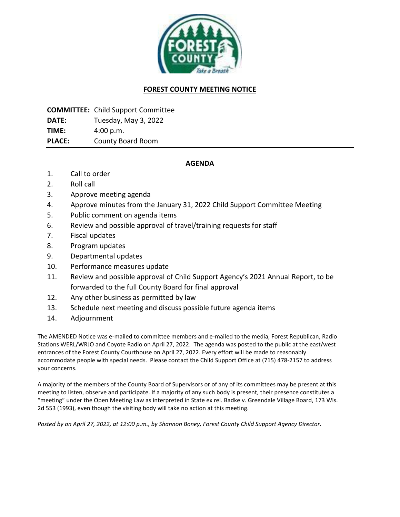

## **FOREST COUNTY MEETING NOTICE**

**COMMITTEE:** Child Support Committee

**DATE:** Tuesday, May 3, 2022

**TIME:** 4:00 p.m.

**PLACE:** County Board Room

# **AGENDA**

- 1. Call to order
- 2. Roll call
- 3. Approve meeting agenda
- 4. Approve minutes from the January 31, 2022 Child Support Committee Meeting
- 5. Public comment on agenda items
- 6. Review and possible approval of travel/training requests for staff
- 7. Fiscal updates
- 8. Program updates
- 9. Departmental updates
- 10. Performance measures update
- 11. Review and possible approval of Child Support Agency's 2021 Annual Report, to be forwarded to the full County Board for final approval
- 12. Any other business as permitted by law
- 13. Schedule next meeting and discuss possible future agenda items
- 14. Adjournment

The AMENDED Notice was e-mailed to committee members and e-mailed to the media, Forest Republican, Radio Stations WERL/WRJO and Coyote Radio on April 27, 2022. The agenda was posted to the public at the east/west entrances of the Forest County Courthouse on April 27, 2022. Every effort will be made to reasonably accommodate people with special needs. Please contact the Child Support Office at (715) 478-2157 to address your concerns.

A majority of the members of the County Board of Supervisors or of any of its committees may be present at this meeting to listen, observe and participate. If a majority of any such body is present, their presence constitutes a "meeting" under the Open Meeting Law as interpreted in State ex rel. Badke v. Greendale Village Board, 173 Wis. 2d 553 (1993), even though the visiting body will take no action at this meeting.

*Posted by on April 27, 2022, at 12:00 p.m., by Shannon Boney, Forest County Child Support Agency Director.*